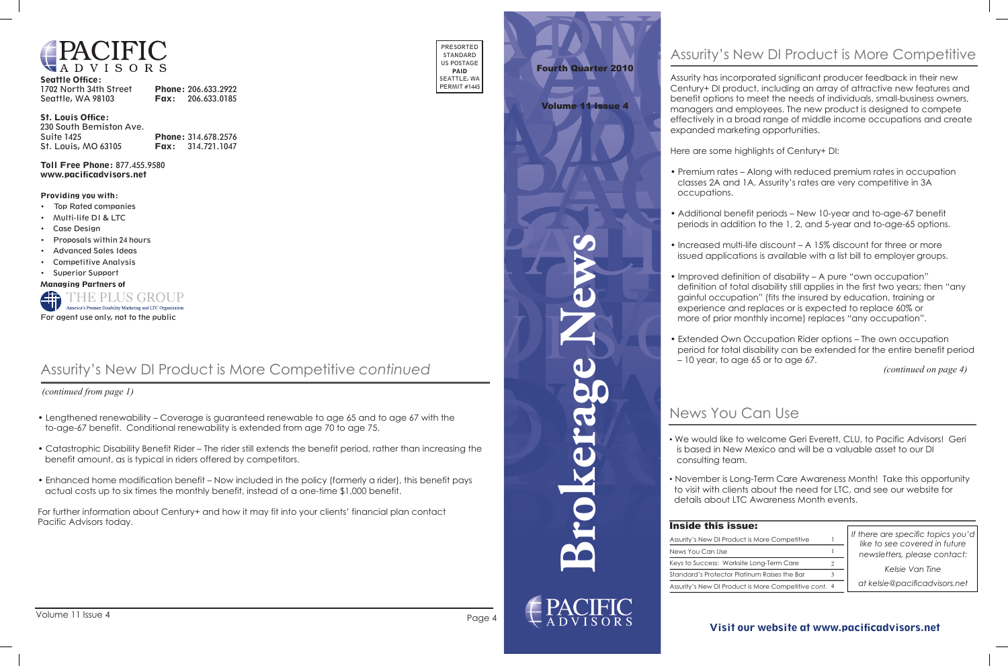

### Visit our website at www.pacificadvisors.net



| <b>Seattle Office:</b> |                          |
|------------------------|--------------------------|
| 1702 North 34th Street | Phone: 206.633.2922      |
| Seattle, WA 98103      | <b>Fax:</b> 206.633.0185 |

### St. Louis Office:

| 230 South Bemiston Ave.    |                            |
|----------------------------|----------------------------|
| Suite 1425                 | <b>Phone: 314.678.2576</b> |
| <b>St. Louis, MO 63105</b> | <b>Fax:</b> $314.721.1047$ |

Toll Free Phone: 877.455.9580 www.pacificadvisors.net

| PRESORTED    |  |  |
|--------------|--|--|
| STANDARD     |  |  |
| US POSTAGE   |  |  |
| PAID         |  |  |
| SEATTLE, WA  |  |  |
| PERMIT #1445 |  |  |

### Providing you with:

- Top Rated companies
- Multi-life DI & LTC
- Case Design
- Proposals within 24 hours
- Advanced Sales Ideas
- Competitive Analysis
- Superior Support

### Managing Partners of



 *(continued from page 1)*

- Lengthened renewability Coverage is guaranteed renewable to age 65 and to age 67 with the to-age-67 benefit. Conditional renewability is extended from age 70 to age 75.
- Catastrophic Disability Benefit Rider The rider still extends the benefit period, rather than increasing the benefit amount, as is typical in riders offered by competitors.
- Enhanced home modification benefit Now included in the policy (formerly a rider), this benefit pays actual costs up to six times the monthly benefit, instead of a one-time \$1,000 benefit.

For further information about Century+ and how it may fit into your clients' financial plan contact Pacific Advisors today.

## Assurity's New DI Product is More Competitive *continued*

## News You Can Use

*If there are specific topics you'd like to see covered in future newsletters, please contact:*

*Kelsie Van Tine*

*at kelsie@pacificadvisors.net*

## Inside this issue:

| Assurity's New DI Product is More Competitive         |  |
|-------------------------------------------------------|--|
| News You Can Use                                      |  |
| Keys to Success: Worksite Long-Term Care              |  |
| Standard's Protector Platinum Raises the Bar          |  |
| Assurity's New DI Product is More Competitive cont. 4 |  |
|                                                       |  |



## Fourth Quarter 2010

Volume 11 Issue 4

*(continued on page 4)*

• We would like to welcome Geri Everett, CLU, to Pacific Advisors! Geri is based in New Mexico and will be a valuable asset to our DI

- consulting team.
- 

• November is Long-Term Care Awareness Month! Take this opportunity to visit with clients about the need for LTC, and see our website for details about LTC Awareness Month events.

Assurity has incorporated significant producer feedback in their new Century+ DI product, including an array of attractive new features and benefit options to meet the needs of individuals, small-business owners, managers and employees. The new product is designed to compete effectively in a broad range of middle income occupations and create expanded marketing opportunities.

Here are some highlights of Century+ DI:

• Premium rates – Along with reduced premium rates in occupation classes 2A and 1A, Assurity's rates are very competitive in 3A

- occupations.
- 
- 
- 
- 

• Additional benefit periods – New 10-year and to-age-67 benefit periods in addition to the 1, 2, and 5-year and to-age-65 options.

• Increased multi-life discount – A 15% discount for three or more issued applications is available with a list bill to employer groups.

• Improved definition of disability – A pure "own occupation" definition of total disability still applies in the first two years; then "any gainful occupation" (fits the insured by education, training or experience and replaces or is expected to replace 60% or more of prior monthly income) replaces "any occupation".

• Extended Own Occupation Rider options – The own occupation period for total disability can be extended for the entire benefit period – 10 year, to age 65 or to age 67.

## Assurity's New DI Product is More Competitive